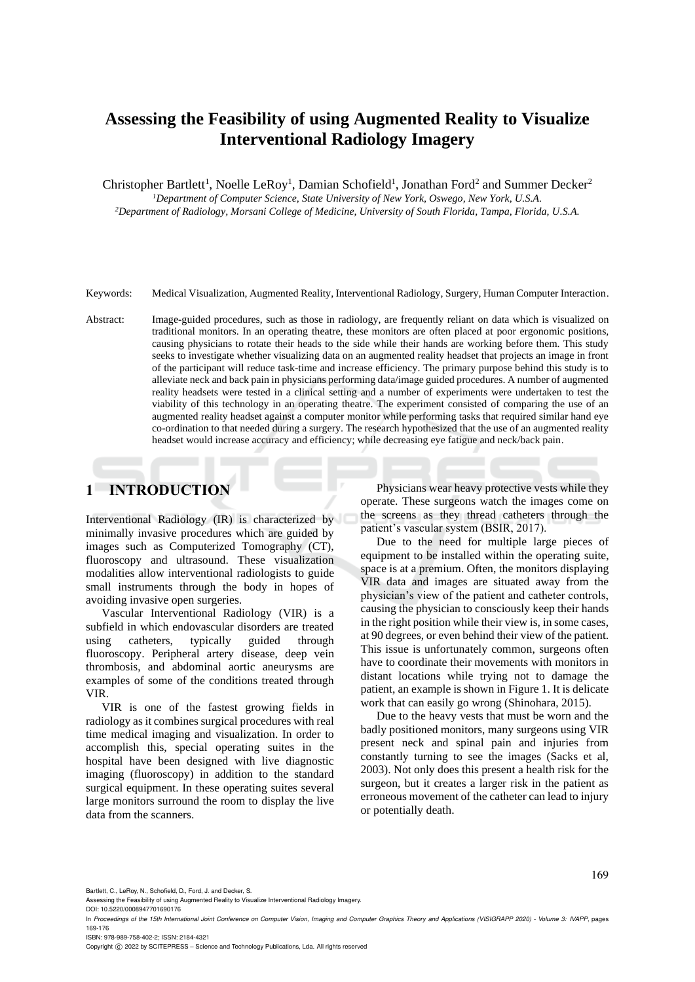# **Assessing the Feasibility of using Augmented Reality to Visualize Interventional Radiology Imagery**

Christopher Bartlett<sup>1</sup>, Noelle LeRoy<sup>1</sup>, Damian Schofield<sup>1</sup>, Jonathan Ford<sup>2</sup> and Summer Decker<sup>2</sup>

*<sup>1</sup>Department of Computer Science, State University of New York, Oswego, New York, U.S.A.*

*<sup>2</sup>Department of Radiology, Morsani College of Medicine, University of South Florida, Tampa, Florida, U.S.A.*

Keywords: Medical Visualization, Augmented Reality, Interventional Radiology, Surgery, Human Computer Interaction.

Abstract: Image-guided procedures, such as those in radiology, are frequently reliant on data which is visualized on traditional monitors. In an operating theatre, these monitors are often placed at poor ergonomic positions, causing physicians to rotate their heads to the side while their hands are working before them. This study seeks to investigate whether visualizing data on an augmented reality headset that projects an image in front of the participant will reduce task-time and increase efficiency. The primary purpose behind this study is to alleviate neck and back pain in physicians performing data/image guided procedures. A number of augmented reality headsets were tested in a clinical setting and a number of experiments were undertaken to test the viability of this technology in an operating theatre. The experiment consisted of comparing the use of an augmented reality headset against a computer monitor while performing tasks that required similar hand eye co-ordination to that needed during a surgery. The research hypothesized that the use of an augmented reality headset would increase accuracy and efficiency; while decreasing eye fatigue and neck/back pain.

# **1 INTRODUCTION**

Interventional Radiology (IR) is characterized by minimally invasive procedures which are guided by images such as Computerized Tomography (CT), fluoroscopy and ultrasound. These visualization modalities allow interventional radiologists to guide small instruments through the body in hopes of avoiding invasive open surgeries.

Vascular Interventional Radiology (VIR) is a subfield in which endovascular disorders are treated using catheters, typically guided through fluoroscopy. Peripheral artery disease, deep vein thrombosis, and abdominal aortic aneurysms are examples of some of the conditions treated through VIR.

VIR is one of the fastest growing fields in radiology as it combines surgical procedures with real time medical imaging and visualization. In order to accomplish this, special operating suites in the hospital have been designed with live diagnostic imaging (fluoroscopy) in addition to the standard surgical equipment. In these operating suites several large monitors surround the room to display the live data from the scanners.

Physicians wear heavy protective vests while they operate. These surgeons watch the images come on the screens as they thread catheters through the patient's vascular system (BSIR, 2017).

Due to the need for multiple large pieces of equipment to be installed within the operating suite, space is at a premium. Often, the monitors displaying VIR data and images are situated away from the physician's view of the patient and catheter controls, causing the physician to consciously keep their hands in the right position while their view is, in some cases, at 90 degrees, or even behind their view of the patient. This issue is unfortunately common, surgeons often have to coordinate their movements with monitors in distant locations while trying not to damage the patient, an example is shown in Figure 1. It is delicate work that can easily go wrong (Shinohara, 2015).

Due to the heavy vests that must be worn and the badly positioned monitors, many surgeons using VIR present neck and spinal pain and injuries from constantly turning to see the images (Sacks et al, 2003). Not only does this present a health risk for the surgeon, but it creates a larger risk in the patient as erroneous movement of the catheter can lead to injury or potentially death.

Bartlett, C., LeRoy, N., Schofield, D., Ford, J. and Decker, S.

ISBN: 978-989-758-402-2; ISSN: 2184-4321

Copyright © 2022 by SCITEPRESS - Science and Technology Publications, Lda. All rights reserved

Assessing the Feasibility of using Augmented Reality to Visualize Interventional Radiology Imagery.

DOI: 10.5220/0008947701690176

In *Proceedings of the 15th International Joint Conference on Computer Vision, Imaging and Computer Graphics Theory and Applications (VISIGRAPP 2020) - Volume 3: IVAPP*, pages 169-176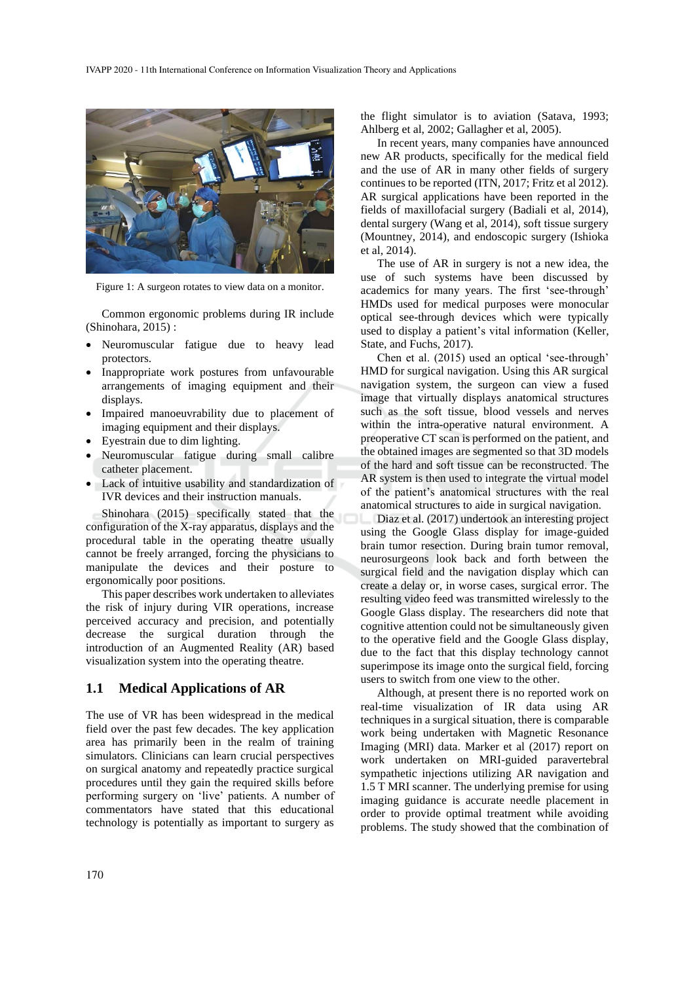

Figure 1: A surgeon rotates to view data on a monitor.

Common ergonomic problems during IR include (Shinohara, 2015) :

- Neuromuscular fatigue due to heavy lead protectors.
- Inappropriate work postures from unfavourable arrangements of imaging equipment and their displays.
- Impaired manoeuvrability due to placement of imaging equipment and their displays.
- Eyestrain due to dim lighting.
- Neuromuscular fatigue during small calibre catheter placement.
- Lack of intuitive usability and standardization of IVR devices and their instruction manuals.

Shinohara (2015) specifically stated that the configuration of the X-ray apparatus, displays and the procedural table in the operating theatre usually cannot be freely arranged, forcing the physicians to manipulate the devices and their posture to ergonomically poor positions.

This paper describes work undertaken to alleviates the risk of injury during VIR operations, increase perceived accuracy and precision, and potentially decrease the surgical duration through the introduction of an Augmented Reality (AR) based visualization system into the operating theatre.

### **1.1 Medical Applications of AR**

The use of VR has been widespread in the medical field over the past few decades. The key application area has primarily been in the realm of training simulators. Clinicians can learn crucial perspectives on surgical anatomy and repeatedly practice surgical procedures until they gain the required skills before performing surgery on 'live' patients. A number of commentators have stated that this educational technology is potentially as important to surgery as the flight simulator is to aviation (Satava, 1993; Ahlberg et al, 2002; Gallagher et al, 2005).

In recent years, many companies have announced new AR products, specifically for the medical field and the use of AR in many other fields of surgery continues to be reported (ITN, 2017; Fritz et al 2012). AR surgical applications have been reported in the fields of maxillofacial surgery (Badiali et al, 2014), dental surgery (Wang et al, 2014), soft tissue surgery (Mountney, 2014), and endoscopic surgery (Ishioka et al, 2014).

The use of AR in surgery is not a new idea, the use of such systems have been discussed by academics for many years. The first 'see-through' HMDs used for medical purposes were monocular optical see-through devices which were typically used to display a patient's vital information (Keller, State, and Fuchs, 2017).

Chen et al. (2015) used an optical 'see-through' HMD for surgical navigation. Using this AR surgical navigation system, the surgeon can view a fused image that virtually displays anatomical structures such as the soft tissue, blood vessels and nerves within the intra-operative natural environment. A preoperative CT scan is performed on the patient, and the obtained images are segmented so that 3D models of the hard and soft tissue can be reconstructed. The AR system is then used to integrate the virtual model of the patient's anatomical structures with the real anatomical structures to aide in surgical navigation.

Diaz et al. (2017) undertook an interesting project using the Google Glass display for image-guided brain tumor resection. During brain tumor removal, neurosurgeons look back and forth between the surgical field and the navigation display which can create a delay or, in worse cases, surgical error. The resulting video feed was transmitted wirelessly to the Google Glass display. The researchers did note that cognitive attention could not be simultaneously given to the operative field and the Google Glass display, due to the fact that this display technology cannot superimpose its image onto the surgical field, forcing users to switch from one view to the other.

Although, at present there is no reported work on real-time visualization of IR data using AR techniques in a surgical situation, there is comparable work being undertaken with Magnetic Resonance Imaging (MRI) data. Marker et al (2017) report on work undertaken on MRI-guided paravertebral sympathetic injections utilizing AR navigation and 1.5 T MRI scanner. The underlying premise for using imaging guidance is accurate needle placement in order to provide optimal treatment while avoiding problems. The study showed that the combination of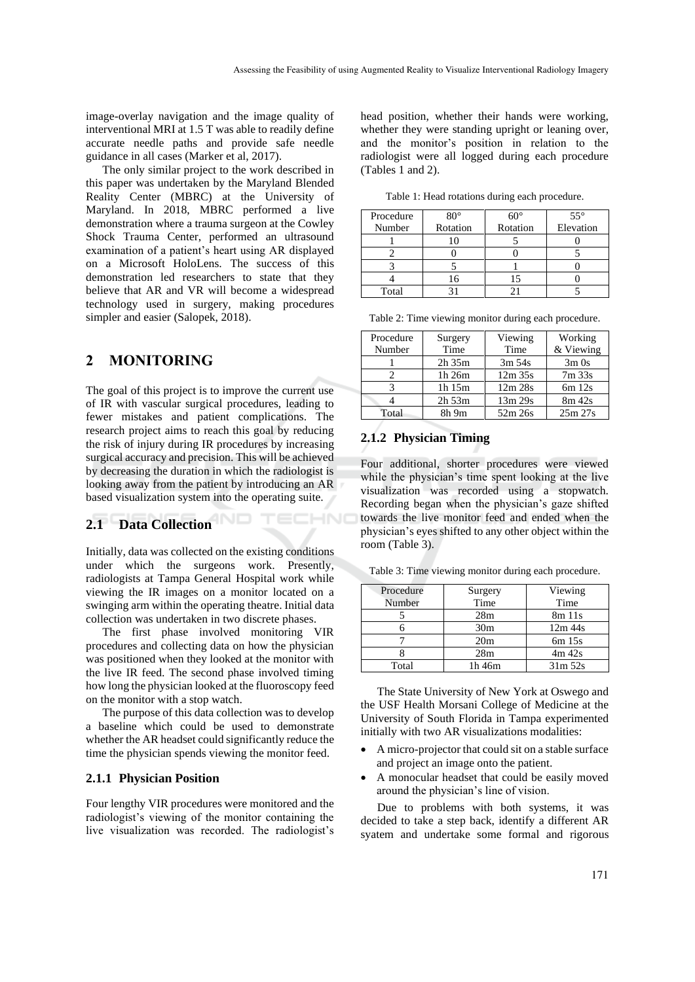image-overlay navigation and the image quality of interventional MRI at 1.5 T was able to readily define accurate needle paths and provide safe needle guidance in all cases (Marker et al, 2017).

The only similar project to the work described in this paper was undertaken by the Maryland Blended Reality Center (MBRC) at the University of Maryland. In 2018, MBRC performed a live demonstration where a trauma surgeon at the Cowley Shock Trauma Center, performed an ultrasound examination of a patient's heart using AR displayed on a Microsoft HoloLens. The success of this demonstration led researchers to state that they believe that AR and VR will become a widespread technology used in surgery, making procedures simpler and easier (Salopek, 2018).

### **2 MONITORING**

The goal of this project is to improve the current use of IR with vascular surgical procedures, leading to fewer mistakes and patient complications. The research project aims to reach this goal by reducing the risk of injury during IR procedures by increasing surgical accuracy and precision. This will be achieved by decreasing the duration in which the radiologist is looking away from the patient by introducing an AR based visualization system into the operating suite.

# **2.1 Data Collection**

Initially, data was collected on the existing conditions under which the surgeons work. Presently, radiologists at Tampa General Hospital work while viewing the IR images on a monitor located on a swinging arm within the operating theatre. Initial data collection was undertaken in two discrete phases.

The first phase involved monitoring VIR procedures and collecting data on how the physician was positioned when they looked at the monitor with the live IR feed. The second phase involved timing how long the physician looked at the fluoroscopy feed on the monitor with a stop watch.

The purpose of this data collection was to develop a baseline which could be used to demonstrate whether the AR headset could significantly reduce the time the physician spends viewing the monitor feed.

#### **2.1.1 Physician Position**

Four lengthy VIR procedures were monitored and the radiologist's viewing of the monitor containing the live visualization was recorded. The radiologist's head position, whether their hands were working, whether they were standing upright or leaning over, and the monitor's position in relation to the radiologist were all logged during each procedure (Tables 1 and 2).

Table 1: Head rotations during each procedure.

| Procedure | $80^\circ$ | $60^{\circ}$ | $55^{\circ}$ |
|-----------|------------|--------------|--------------|
| Number    | Rotation   | Rotation     | Elevation    |
|           |            |              |              |
|           |            |              |              |
|           |            |              |              |
|           | 6          |              |              |
| Total     |            |              |              |

| Table 2: Time viewing monitor during each procedure. |  |  |  |
|------------------------------------------------------|--|--|--|
|                                                      |  |  |  |
|                                                      |  |  |  |

| Procedure | Surgery     | Viewing   | Working   |  |
|-----------|-------------|-----------|-----------|--|
| Number    | Time        | Time      | & Viewing |  |
|           | $2h$ 35 $m$ | $3m\,54s$ | $3m$ Os   |  |
|           | 1h 26m      | $12m$ 35s | 7m 33s    |  |
| 2         | 1h 15m      | 12m 28s   | $6m$ 12s  |  |
|           | $2h\,53m$   | 13m 29s   | 8m 42s    |  |
| Total     | 8h 9m       | 52m 26s   | 25m 27s   |  |

### **2.1.2 Physician Timing**

Four additional, shorter procedures were viewed while the physician's time spent looking at the live visualization was recorded using a stopwatch. Recording began when the physician's gaze shifted towards the live monitor feed and ended when the physician's eyes shifted to any other object within the room (Table 3).

Table 3: Time viewing monitor during each procedure.

| Procedure | Surgery         | Viewing    |
|-----------|-----------------|------------|
| Number    | Time            | Time       |
|           | 28m             | 8m 11s     |
|           | 30 <sub>m</sub> | $12m$ 44s  |
|           | 20 <sub>m</sub> | $6m$ 15s   |
|           | 28m             | 4m 42s     |
| Total     | 1h 46m          | $31m\,52s$ |

The State University of New York at Oswego and the USF Health Morsani College of Medicine at the University of South Florida in Tampa experimented initially with two AR visualizations modalities:

- A micro-projector that could sit on a stable surface and project an image onto the patient.
- A monocular headset that could be easily moved around the physician's line of vision.

Due to problems with both systems, it was decided to take a step back, identify a different AR syatem and undertake some formal and rigorous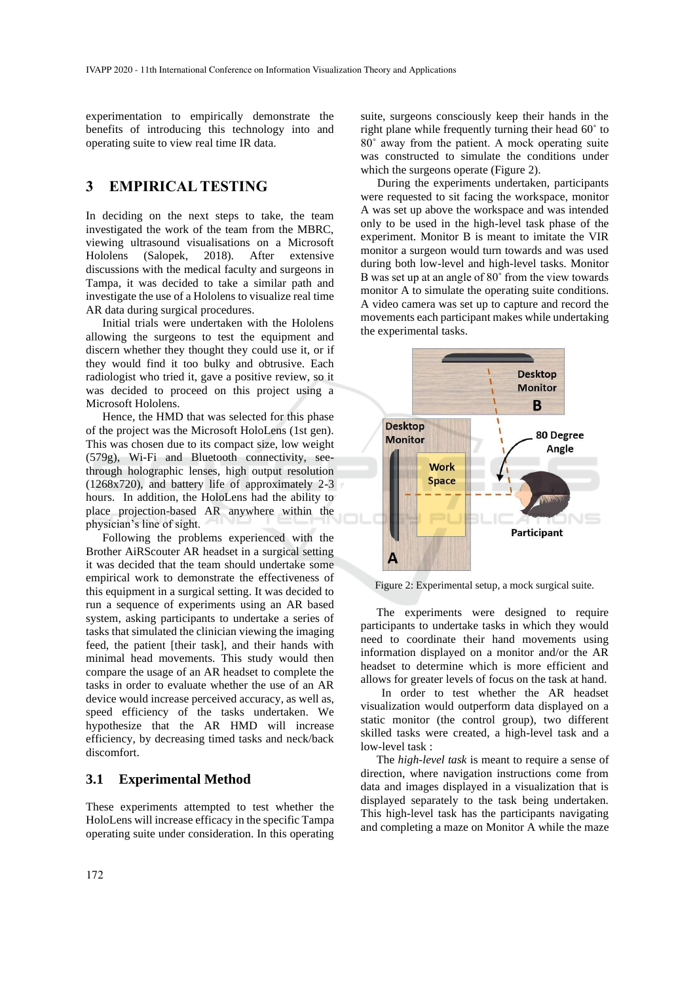experimentation to empirically demonstrate the benefits of introducing this technology into and operating suite to view real time IR data.

## **3 EMPIRICAL TESTING**

In deciding on the next steps to take, the team investigated the work of the team from the MBRC, viewing ultrasound visualisations on a Microsoft Hololens (Salopek, 2018). After extensive discussions with the medical faculty and surgeons in Tampa, it was decided to take a similar path and investigate the use of a Hololens to visualize real time AR data during surgical procedures.

Initial trials were undertaken with the Hololens allowing the surgeons to test the equipment and discern whether they thought they could use it, or if they would find it too bulky and obtrusive. Each radiologist who tried it, gave a positive review, so it was decided to proceed on this project using a Microsoft Hololens.

Hence, the HMD that was selected for this phase of the project was the Microsoft HoloLens (1st gen). This was chosen due to its compact size, low weight (579g), Wi-Fi and Bluetooth connectivity, seethrough holographic lenses, high output resolution (1268x720), and battery life of approximately 2-3 hours. In addition, the HoloLens had the ability to place projection-based AR anywhere within the physician's line of sight.

Following the problems experienced with the Brother AiRScouter AR headset in a surgical setting it was decided that the team should undertake some empirical work to demonstrate the effectiveness of this equipment in a surgical setting. It was decided to run a sequence of experiments using an AR based system, asking participants to undertake a series of tasks that simulated the clinician viewing the imaging feed, the patient [their task], and their hands with minimal head movements. This study would then compare the usage of an AR headset to complete the tasks in order to evaluate whether the use of an AR device would increase perceived accuracy, as well as, speed efficiency of the tasks undertaken. We hypothesize that the AR HMD will increase efficiency, by decreasing timed tasks and neck/back discomfort.

#### **3.1 Experimental Method**

These experiments attempted to test whether the HoloLens will increase efficacy in the specific Tampa operating suite under consideration. In this operating

suite, surgeons consciously keep their hands in the right plane while frequently turning their head 60˚ to 80˚ away from the patient. A mock operating suite was constructed to simulate the conditions under which the surgeons operate (Figure 2).

During the experiments undertaken, participants were requested to sit facing the workspace, monitor A was set up above the workspace and was intended only to be used in the high-level task phase of the experiment. Monitor B is meant to imitate the VIR monitor a surgeon would turn towards and was used during both low-level and high-level tasks. Monitor B was set up at an angle of 80˚ from the view towards monitor A to simulate the operating suite conditions. A video camera was set up to capture and record the movements each participant makes while undertaking the experimental tasks.



Figure 2: Experimental setup, a mock surgical suite.

The experiments were designed to require participants to undertake tasks in which they would need to coordinate their hand movements using information displayed on a monitor and/or the AR headset to determine which is more efficient and allows for greater levels of focus on the task at hand.

In order to test whether the AR headset visualization would outperform data displayed on a static monitor (the control group), two different skilled tasks were created, a high-level task and a low-level task :

The *high-level task* is meant to require a sense of direction, where navigation instructions come from data and images displayed in a visualization that is displayed separately to the task being undertaken. This high-level task has the participants navigating and completing a maze on Monitor A while the maze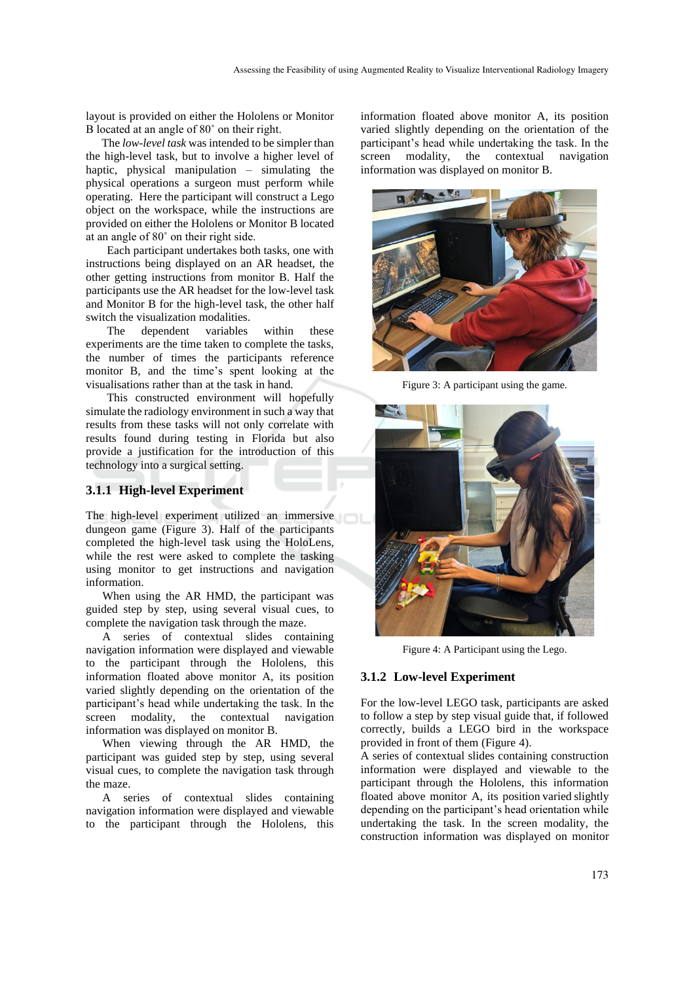layout is provided on either the Hololens or Monitor B located at an angle of 80˚ on their right.

The *low-level task* was intended to be simpler than the high-level task, but to involve a higher level of haptic, physical manipulation – simulating the physical operations a surgeon must perform while operating. Here the participant will construct a Lego object on the workspace, while the instructions are provided on either the Hololens or Monitor B located at an angle of 80˚ on their right side.

Each participant undertakes both tasks, one with instructions being displayed on an AR headset, the other getting instructions from monitor B. Half the participants use the AR headset for the low-level task and Monitor B for the high-level task, the other half switch the visualization modalities.

The dependent variables within these experiments are the time taken to complete the tasks, the number of times the participants reference monitor B, and the time's spent looking at the visualisations rather than at the task in hand.

This constructed environment will hopefully simulate the radiology environment in such a way that results from these tasks will not only correlate with results found during testing in Florida but also provide a justification for the introduction of this technology into a surgical setting.

#### **3.1.1 High-level Experiment**

The high-level experiment utilized an immersive dungeon game (Figure 3). Half of the participants completed the high-level task using the HoloLens, while the rest were asked to complete the tasking using monitor to get instructions and navigation information.

When using the AR HMD, the participant was guided step by step, using several visual cues, to complete the navigation task through the maze.

A series of contextual slides containing navigation information were displayed and viewable to the participant through the Hololens, this information floated above monitor A, its position varied slightly depending on the orientation of the participant's head while undertaking the task. In the screen modality, the contextual navigation information was displayed on monitor B.

When viewing through the AR HMD, the participant was guided step by step, using several visual cues, to complete the navigation task through the maze.

A series of contextual slides containing navigation information were displayed and viewable to the participant through the Hololens, this

information floated above monitor A, its position varied slightly depending on the orientation of the participant's head while undertaking the task. In the screen modality, the contextual navigation information was displayed on monitor B.



Figure 3: A participant using the game.



Figure 4: A Participant using the Lego.

#### **3.1.2 Low-level Experiment**

For the low-level LEGO task, participants are asked to follow a step by step visual guide that, if followed correctly, builds a LEGO bird in the workspace provided in front of them (Figure 4).

A series of contextual slides containing construction information were displayed and viewable to the participant through the Hololens, this information floated above monitor A, its position varied slightly depending on the participant's head orientation while undertaking the task. In the screen modality, the construction information was displayed on monitor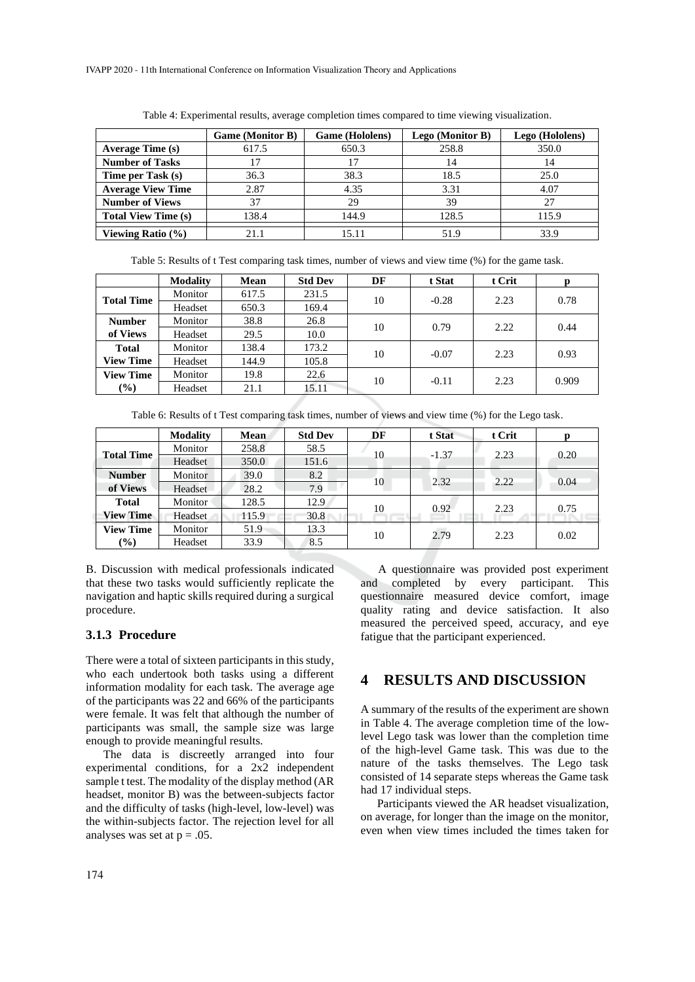IVAPP 2020 - 11th International Conference on Information Visualization Theory and Applications

|                            | <b>Game (Monitor B)</b> | <b>Game</b> (Hololens) | Lego (Monitor B) | Lego (Hololens) |
|----------------------------|-------------------------|------------------------|------------------|-----------------|
| <b>Average Time (s)</b>    | 617.5                   | 650.3                  | 258.8            | 350.0           |
| <b>Number of Tasks</b>     | 7                       | 17                     | 14               | 14              |
| Time per Task (s)          | 36.3                    | 38.3                   | 18.5             | 25.0            |
| <b>Average View Time</b>   | 2.87                    | 4.35                   | 3.31             | 4.07            |
| <b>Number of Views</b>     | 37                      | 29                     | 39               | 27              |
| <b>Total View Time (s)</b> | 138.4                   | 144.9                  | 128.5            | 115.9           |
| Viewing Ratio (%)          | 21.1                    | 15.11                  | 51.9             |                 |

Table 4: Experimental results, average completion times compared to time viewing visualization.

Table 5: Results of t Test comparing task times, number of views and view time (%) for the game task.

|                   | <b>Modality</b> | <b>Mean</b> | <b>Std Dev</b> | DF | t Stat  | t Crit | р     |
|-------------------|-----------------|-------------|----------------|----|---------|--------|-------|
| <b>Total Time</b> | Monitor         | 617.5       | 231.5          | 10 |         | 2.23   | 0.78  |
|                   | Headset         | 650.3       | 169.4          |    | $-0.28$ |        |       |
| <b>Number</b>     | Monitor         | 38.8        | 26.8           | 10 | 0.79    | 2.22   | 0.44  |
| of Views          | Headset         | 29.5        | 10.0           |    |         |        |       |
| <b>Total</b>      | Monitor         | 138.4       | 173.2          |    | $-0.07$ | 2.23   | 0.93  |
| <b>View Time</b>  | Headset         | 144.9       | 105.8          | 10 |         |        |       |
| <b>View Time</b>  | Monitor         | 19.8        | 22.6           | 10 | $-0.11$ | 2.23   | 0.909 |
| $\frac{9}{0}$     | Headset         | 21.1        | 15.11          |    |         |        |       |

Table 6: Results of t Test comparing task times, number of views and view time (%) for the Lego task.

|                   | <b>Modality</b> | Mean  | <b>Std Dev</b> | DF | t Stat  | t Crit | p    |
|-------------------|-----------------|-------|----------------|----|---------|--------|------|
| <b>Total Time</b> | Monitor         | 258.8 | 58.5           | 10 | $-1.37$ | 2.23   | 0.20 |
|                   | Headset         | 350.0 | 151.6          |    |         |        |      |
| <b>Number</b>     | Monitor         | 39.0  | 8.2            |    | 2.32    | 2.22   |      |
| of Views          | Headset         | 28.2  | 7.9            | 10 |         |        | 0.04 |
| <b>Total</b>      | Monitor         | 128.5 | 12.9           |    | 0.92    | 2.23   | 0.75 |
| <b>View Time</b>  | Headset         | 115.9 | 30.8           | 10 |         |        |      |
| <b>View Time</b>  | Monitor         | 51.9  | 13.3           | 10 | 2.79    | 2.23   | 0.02 |
| $(\%)$            | Headset         | 33.9  | 8.5            |    |         |        |      |

B. Discussion with medical professionals indicated that these two tasks would sufficiently replicate the navigation and haptic skills required during a surgical procedure.

#### **3.1.3 Procedure**

There were a total of sixteen participants in this study, who each undertook both tasks using a different information modality for each task. The average age of the participants was 22 and 66% of the participants were female. It was felt that although the number of participants was small, the sample size was large enough to provide meaningful results.

The data is discreetly arranged into four experimental conditions, for a 2x2 independent sample t test. The modality of the display method (AR headset, monitor B) was the between-subjects factor and the difficulty of tasks (high-level, low-level) was the within-subjects factor. The rejection level for all analyses was set at  $p = .05$ .

A questionnaire was provided post experiment and completed by every participant. This questionnaire measured device comfort, image quality rating and device satisfaction. It also measured the perceived speed, accuracy, and eye fatigue that the participant experienced.

### **4 RESULTS AND DISCUSSION**

A summary of the results of the experiment are shown in Table 4. The average completion time of the lowlevel Lego task was lower than the completion time of the high-level Game task. This was due to the nature of the tasks themselves. The Lego task consisted of 14 separate steps whereas the Game task had 17 individual steps.

Participants viewed the AR headset visualization, on average, for longer than the image on the monitor, even when view times included the times taken for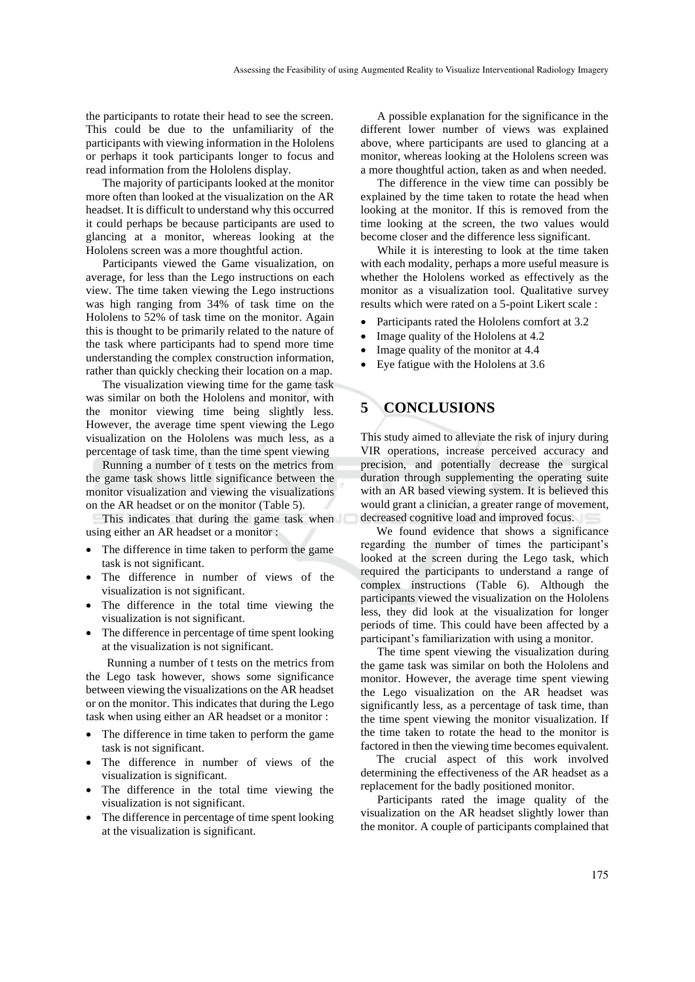the participants to rotate their head to see the screen. This could be due to the unfamiliarity of the participants with viewing information in the Hololens or perhaps it took participants longer to focus and read information from the Hololens display.

The majority of participants looked at the monitor more often than looked at the visualization on the AR headset. It is difficult to understand why this occurred it could perhaps be because participants are used to glancing at a monitor, whereas looking at the Hololens screen was a more thoughtful action.

Participants viewed the Game visualization, on average, for less than the Lego instructions on each view. The time taken viewing the Lego instructions was high ranging from 34% of task time on the Hololens to 52% of task time on the monitor. Again this is thought to be primarily related to the nature of the task where participants had to spend more time understanding the complex construction information, rather than quickly checking their location on a map.

The visualization viewing time for the game task was similar on both the Hololens and monitor, with the monitor viewing time being slightly less. However, the average time spent viewing the Lego visualization on the Hololens was much less, as a percentage of task time, than the time spent viewing

Running a number of t tests on the metrics from the game task shows little significance between the monitor visualization and viewing the visualizations on the AR headset or on the monitor (Table 5).

This indicates that during the game task when using either an AR headset or a monitor :

- The difference in time taken to perform the game task is not significant.
- The difference in number of views of the visualization is not significant.
- The difference in the total time viewing the visualization is not significant.
- The difference in percentage of time spent looking at the visualization is not significant.

Running a number of t tests on the metrics from the Lego task however, shows some significance between viewing the visualizations on the AR headset or on the monitor. This indicates that during the Lego task when using either an AR headset or a monitor :

- The difference in time taken to perform the game task is not significant.
- The difference in number of views of the visualization is significant.
- The difference in the total time viewing the visualization is not significant.
- The difference in percentage of time spent looking at the visualization is significant.

A possible explanation for the significance in the different lower number of views was explained above, where participants are used to glancing at a monitor, whereas looking at the Hololens screen was a more thoughtful action, taken as and when needed.

The difference in the view time can possibly be explained by the time taken to rotate the head when looking at the monitor. If this is removed from the time looking at the screen, the two values would become closer and the difference less significant.

While it is interesting to look at the time taken with each modality, perhaps a more useful measure is whether the Hololens worked as effectively as the monitor as a visualization tool. Qualitative survey results which were rated on a 5-point Likert scale :

- Participants rated the Hololens comfort at 3.2
- Image quality of the Hololens at 4.2
- Image quality of the monitor at 4.4
- Eye fatigue with the Hololens at 3.6

# **5 CONCLUSIONS**

This study aimed to alleviate the risk of injury during VIR operations, increase perceived accuracy and precision, and potentially decrease the surgical duration through supplementing the operating suite with an AR based viewing system. It is believed this would grant a clinician, a greater range of movement, decreased cognitive load and improved focus.

We found evidence that shows a significance regarding the number of times the participant's looked at the screen during the Lego task, which required the participants to understand a range of complex instructions (Table 6). Although the participants viewed the visualization on the Hololens less, they did look at the visualization for longer periods of time. This could have been affected by a participant's familiarization with using a monitor.

The time spent viewing the visualization during the game task was similar on both the Hololens and monitor. However, the average time spent viewing the Lego visualization on the AR headset was significantly less, as a percentage of task time, than the time spent viewing the monitor visualization. If the time taken to rotate the head to the monitor is factored in then the viewing time becomes equivalent.

The crucial aspect of this work involved determining the effectiveness of the AR headset as a replacement for the badly positioned monitor.

Participants rated the image quality of the visualization on the AR headset slightly lower than the monitor. A couple of participants complained that